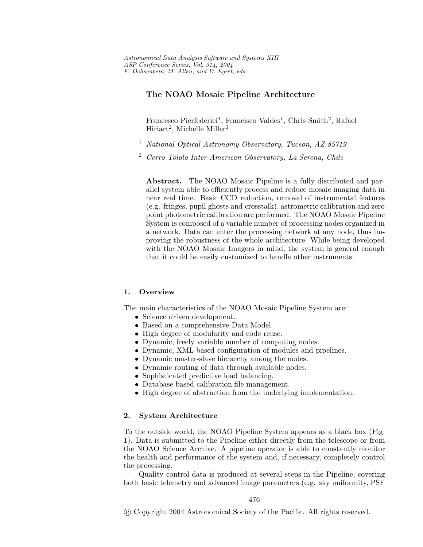# **The NOAO Mosaic Pipeline Architecture**

Francesco Pierfederici<sup>1</sup>, Francisco Valdes<sup>1</sup>, Chris Smith<sup>2</sup>, Rafael Hiriart<sup>2</sup>, Michelle Miller<sup>1</sup>

- <sup>1</sup> *National Optical Astronomy Observatory, Tucson, AZ 85719*
- <sup>2</sup> *Cerro Tololo Inter-American Observatory, La Serena, Chile*

**Abstract.** The NOAO Mosaic Pipeline is a fully distributed and parallel system able to efficiently process and reduce mosaic imaging data in near real time. Basic CCD reduction, removal of instrumental features (e.g. fringes, pupil ghosts and crosstalk), astrometric calibration and zero point photometric calibration are performed. The NOAO Mosaic Pipeline System is composed of a variable number of processing nodes organized in a network. Data can enter the processing network at any node, thus improving the robustness of the whole architecture. While being developed with the NOAO Mosaic Imagers in mind, the system is general enough that it could be easily customized to handle other instruments.

## **1. Overview**

The main characteristics of the NOAO Mosaic Pipeline System are:

- Science driven development.
- Based on a comprehensive Data Model.
- High degree of modularity and code reuse.
- Dynamic, freely variable number of computing nodes.
- Dynamic, XML based configuration of modules and pipelines.
- Dynamic master-slave hierarchy among the nodes.
- Dynamic routing of data through available nodes.
- Sophisticated predictive load balancing.
- Database based calibration file management.
- High degree of abstraction from the underlying implementation.

#### **2. System Architecture**

To the outside world, the NOAO Pipeline System appears as a black box (Fig. 1). Data is submitted to the Pipeline either directly from the telescope or from the NOAO Science Archive. A pipeline operator is able to constantly monitor the health and performance of the system and, if necessary, completely control the processing.

Quality control data is produced at several steps in the Pipeline, covering both basic telemetry and advanced image parameters (e.g. sky uniformity, PSF

<sup>-</sup>c Copyright 2004 Astronomical Society of the Pacific. All rights reserved.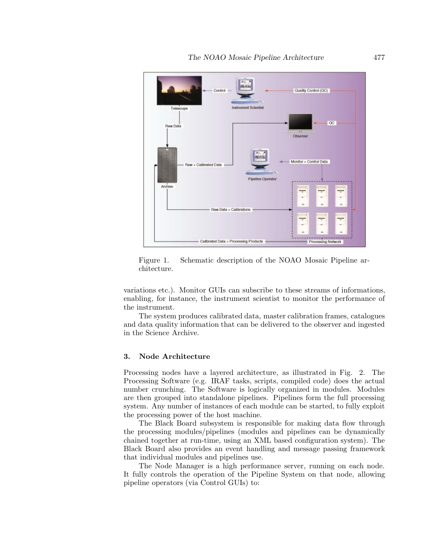

Figure 1. Schematic description of the NOAO Mosaic Pipeline architecture.

variations etc.). Monitor GUIs can subscribe to these streams of informations, enabling, for instance, the instrument scientist to monitor the performance of the instrument.

The system produces calibrated data, master calibration frames, catalogues and data quality information that can be delivered to the observer and ingested in the Science Archive.

### **3. Node Architecture**

Processing nodes have a layered architecture, as illustrated in Fig. 2. The Processing Software (e.g. IRAF tasks, scripts, compiled code) does the actual number crunching. The Software is logically organized in modules. Modules are then grouped into standalone pipelines. Pipelines form the full processing system. Any number of instances of each module can be started, to fully exploit the processing power of the host machine.

The Black Board subsystem is responsible for making data flow through the processing modules/pipelines (modules and pipelines can be dynamically chained together at run-time, using an XML based configuration system). The Black Board also provides an event handling and message passing framework that individual modules and pipelines use.

The Node Manager is a high performance server, running on each node. It fully controls the operation of the Pipeline System on that node, allowing pipeline operators (via Control GUIs) to: